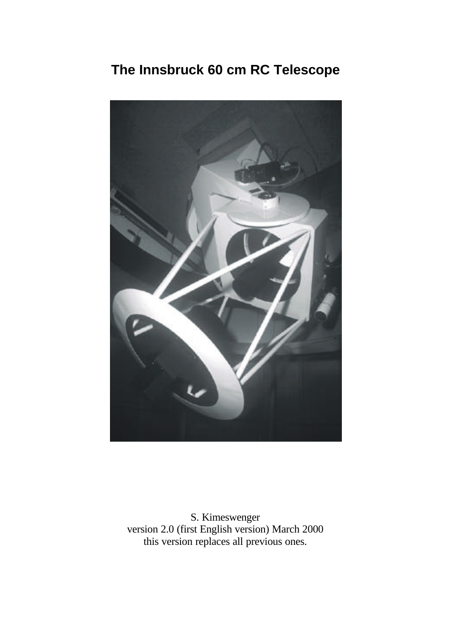# **The Innsbruck 60 cm RC Telescope**



S. Kimeswenger version 2.0 (first English version) March 2000 this version replaces all previous ones.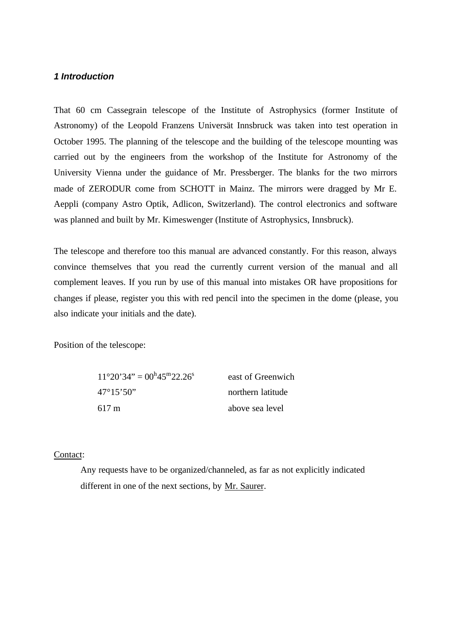#### *1 Introduction*

That 60 cm Cassegrain telescope of the Institute of Astrophysics (former Institute of Astronomy) of the Leopold Franzens Universät Innsbruck was taken into test operation in October 1995. The planning of the telescope and the building of the telescope mounting was carried out by the engineers from the workshop of the Institute for Astronomy of the University Vienna under the guidance of Mr. Pressberger. The blanks for the two mirrors made of ZERODUR come from SCHOTT in Mainz. The mirrors were dragged by Mr E. Aeppli (company Astro Optik, Adlicon, Switzerland). The control electronics and software was planned and built by Mr. Kimeswenger (Institute of Astrophysics, Innsbruck).

The telescope and therefore too this manual are advanced constantly. For this reason, always convince themselves that you read the currently current version of the manual and all complement leaves. If you run by use of this manual into mistakes OR have propositions for changes if please, register you this with red pencil into the specimen in the dome (please, you also indicate your initials and the date).

Position of the telescope:

| $11^{\circ}20'34" = 00^{\rm h}45^{\rm m}22.26^{\rm s}$ | east of Greenwich |
|--------------------------------------------------------|-------------------|
| $47^{\circ}15'50''$                                    | northern latitude |
| 617 m                                                  | above sea level   |

#### Contact:

Any requests have to be organized/channeled, as far as not explicitly indicated different in one of the next sections, by Mr. Saurer.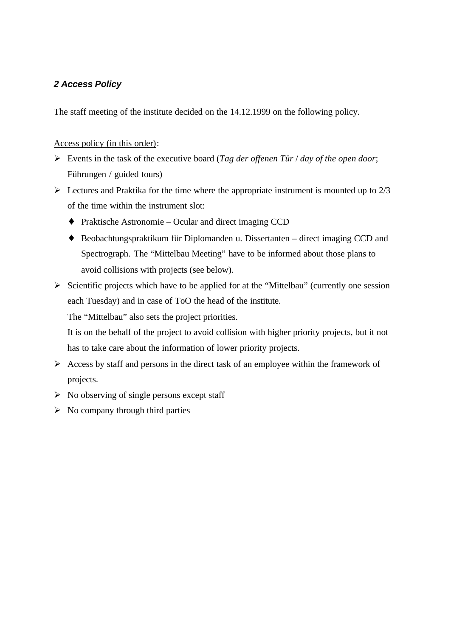## *2 Access Policy*

The staff meeting of the institute decided on the 14.12.1999 on the following policy.

## Access policy (in this order):

- ÿ Events in the task of the executive board (*Tag der offenen Tür* / *day of the open door*; Führungen / guided tours)
- $\triangleright$  Lectures and Praktika for the time where the appropriate instrument is mounted up to 2/3 of the time within the instrument slot:
	- ♦ Praktische Astronomie Ocular and direct imaging CCD
	- ♦ Beobachtungspraktikum für Diplomanden u. Dissertanten direct imaging CCD and Spectrograph. The "Mittelbau Meeting" have to be informed about those plans to avoid collisions with projects (see below).
- $\triangleright$  Scientific projects which have to be applied for at the "Mittelbau" (currently one session each Tuesday) and in case of ToO the head of the institute.

The "Mittelbau" also sets the project priorities.

It is on the behalf of the project to avoid collision with higher priority projects, but it not has to take care about the information of lower priority projects.

- $\triangleright$  Access by staff and persons in the direct task of an employee within the framework of projects.
- $\triangleright$  No observing of single persons except staff
- $\triangleright$  No company through third parties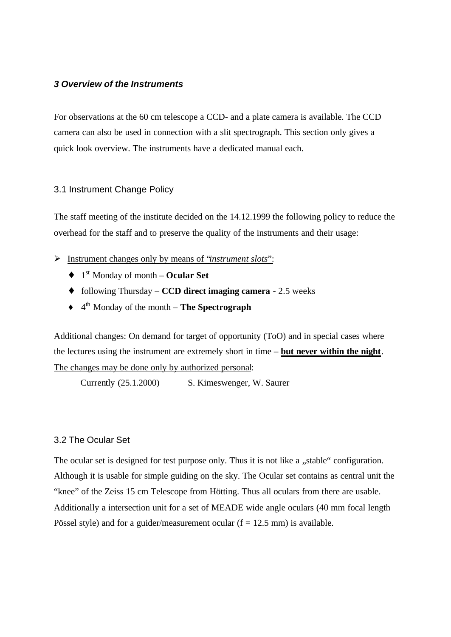#### *3 Overview of the Instruments*

For observations at the 60 cm telescope a CCD- and a plate camera is available. The CCD camera can also be used in connection with a slit spectrograph. This section only gives a quick look overview. The instruments have a dedicated manual each.

#### 3.1 Instrument Change Policy

The staff meeting of the institute decided on the 14.12.1999 the following policy to reduce the overhead for the staff and to preserve the quality of the instruments and their usage:

- ÿ Instrument changes only by means of "*instrument slots*":
	- ♦ 1 st Monday of month **Ocular Set**
	- ♦ following Thursday **CCD direct imaging camera** 2.5 weeks
	- ♦ 4 th Monday of the month **The Spectrograph**

Additional changes: On demand for target of opportunity (ToO) and in special cases where the lectures using the instrument are extremely short in time – **but never within the night**. The changes may be done only by authorized personal:

Currently (25.1.2000) S. Kimeswenger, W. Saurer

## 3.2 The Ocular Set

The ocular set is designed for test purpose only. Thus it is not like a "stable" configuration. Although it is usable for simple guiding on the sky. The Ocular set contains as central unit the "knee" of the Zeiss 15 cm Telescope from Hötting. Thus all oculars from there are usable. Additionally a intersection unit for a set of MEADE wide angle oculars (40 mm focal length Pössel style) and for a guider/measurement ocular  $(f = 12.5 \text{ mm})$  is available.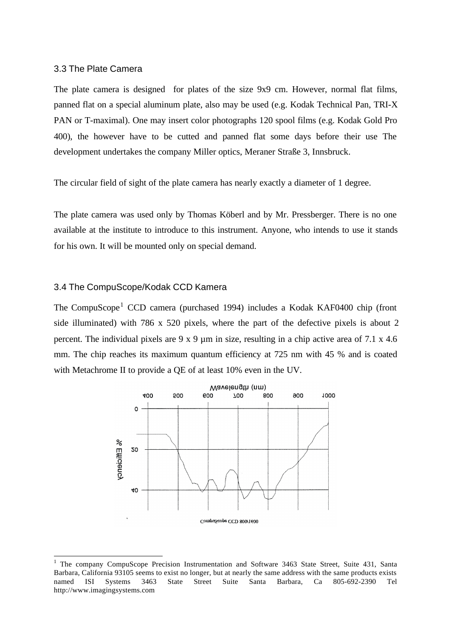#### 3.3 The Plate Camera

The plate camera is designed for plates of the size 9x9 cm. However, normal flat films, panned flat on a special aluminum plate, also may be used (e.g. Kodak Technical Pan, TRI-X PAN or T-maximal). One may insert color photographs 120 spool films (e.g. Kodak Gold Pro 400), the however have to be cutted and panned flat some days before their use The development undertakes the company Miller optics, Meraner Straße 3, Innsbruck.

The circular field of sight of the plate camera has nearly exactly a diameter of 1 degree.

The plate camera was used only by Thomas Köberl and by Mr. Pressberger. There is no one available at the institute to introduce to this instrument. Anyone, who intends to use it stands for his own. It will be mounted only on special demand.

#### 3.4 The CompuScope/Kodak CCD Kamera

l

The CompuScope<sup>1</sup> CCD camera (purchased 1994) includes a Kodak KAF0400 chip (front side illuminated) with 786 x 520 pixels, where the part of the defective pixels is about 2 percent. The individual pixels are 9 x 9 µm in size, resulting in a chip active area of 7.1 x 4.6 mm. The chip reaches its maximum quantum efficiency at 725 nm with 45 % and is coated with Metachrome II to provide a QE of at least 10% even in the UV.



<sup>&</sup>lt;sup>1</sup> The company CompuScope Precision Instrumentation and Software 3463 State Street, Suite 431, Santa Barbara, California 93105 seems to exist no longer, but at nearly the same address with the same products exists named ISI Systems 3463 State Street Suite Santa Barbara, Ca 805-692-2390 Tel http://www.imagingsystems.com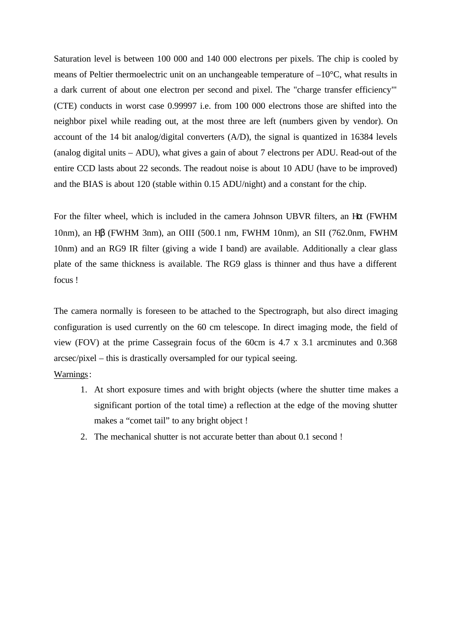Saturation level is between 100 000 and 140 000 electrons per pixels. The chip is cooled by means of Peltier thermoelectric unit on an unchangeable temperature of  $-10^{\circ}$ C, what results in a dark current of about one electron per second and pixel. The "charge transfer efficiency"' (CTE) conducts in worst case 0.99997 i.e. from 100 000 electrons those are shifted into the neighbor pixel while reading out, at the most three are left (numbers given by vendor). On account of the 14 bit analog/digital converters (A/D), the signal is quantized in 16384 levels (analog digital units – ADU), what gives a gain of about 7 electrons per ADU. Read-out of the entire CCD lasts about 22 seconds. The readout noise is about 10 ADU (have to be improved) and the BIAS is about 120 (stable within 0.15 ADU/night) and a constant for the chip.

For the filter wheel, which is included in the camera Johnson UBVR filters, an Hα (FWHM 10nm), an Hβ (FWHM 3nm), an OIII (500.1 nm, FWHM 10nm), an SII (762.0nm, FWHM 10nm) and an RG9 IR filter (giving a wide I band) are available. Additionally a clear glass plate of the same thickness is available. The RG9 glass is thinner and thus have a different focus !

The camera normally is foreseen to be attached to the Spectrograph, but also direct imaging configuration is used currently on the 60 cm telescope. In direct imaging mode, the field of view (FOV) at the prime Cassegrain focus of the 60cm is 4.7 x 3.1 arcminutes and 0.368 arcsec/pixel – this is drastically oversampled for our typical seeing.

#### Warnings:

- 1. At short exposure times and with bright objects (where the shutter time makes a significant portion of the total time) a reflection at the edge of the moving shutter makes a "comet tail" to any bright object !
- 2. The mechanical shutter is not accurate better than about 0.1 second !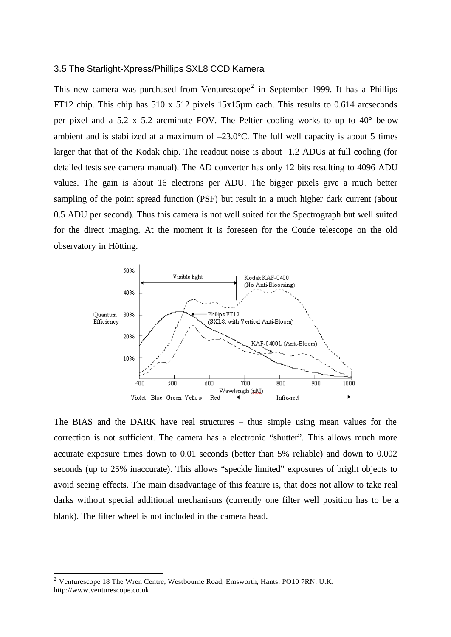#### 3.5 The Starlight-Xpress/Phillips SXL8 CCD Kamera

This new camera was purchased from Venturescope<sup>2</sup> in September 1999. It has a Phillips FT12 chip. This chip has 510 x 512 pixels 15x15µm each. This results to 0.614 arcseconds per pixel and a 5.2 x 5.2 arcminute FOV. The Peltier cooling works to up to 40° below ambient and is stabilized at a maximum of  $-23.0^{\circ}$ C. The full well capacity is about 5 times larger that that of the Kodak chip. The readout noise is about 1.2 ADUs at full cooling (for detailed tests see camera manual). The AD converter has only 12 bits resulting to 4096 ADU values. The gain is about 16 electrons per ADU. The bigger pixels give a much better sampling of the point spread function (PSF) but result in a much higher dark current (about 0.5 ADU per second). Thus this camera is not well suited for the Spectrograph but well suited for the direct imaging. At the moment it is foreseen for the Coude telescope on the old observatory in Hötting.



The BIAS and the DARK have real structures – thus simple using mean values for the correction is not sufficient. The camera has a electronic "shutter". This allows much more accurate exposure times down to 0.01 seconds (better than 5% reliable) and down to 0.002 seconds (up to 25% inaccurate). This allows "speckle limited" exposures of bright objects to avoid seeing effects. The main disadvantage of this feature is, that does not allow to take real darks without special additional mechanisms (currently one filter well position has to be a blank). The filter wheel is not included in the camera head.

l

 $2$  Venturescope 18 The Wren Centre, Westbourne Road, Emsworth, Hants. PO10 7RN. U.K. http://www.venturescope.co.uk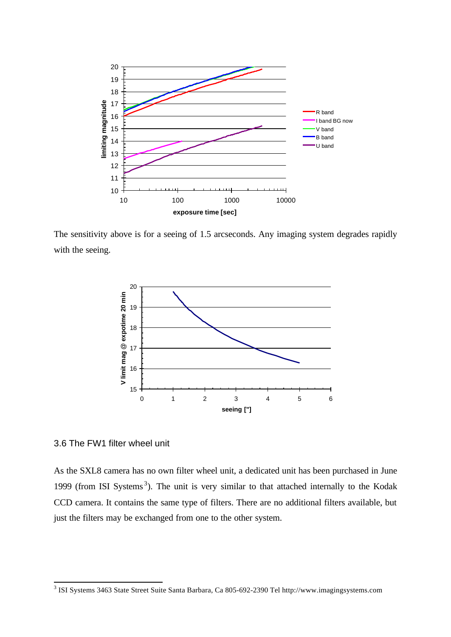

The sensitivity above is for a seeing of 1.5 arcseconds. Any imaging system degrades rapidly with the seeing.



## 3.6 The FW1 filter wheel unit

As the SXL8 camera has no own filter wheel unit, a dedicated unit has been purchased in June 1999 (from ISI Systems<sup>3</sup>). The unit is very similar to that attached internally to the Kodak CCD camera. It contains the same type of filters. There are no additional filters available, but just the filters may be exchanged from one to the other system.

 3 ISI Systems 3463 State Street Suite Santa Barbara, Ca 805-692-2390 Tel http://www.imagingsystems.com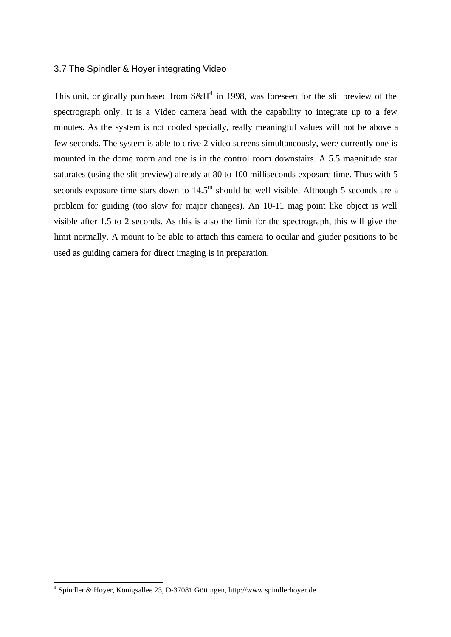#### 3.7 The Spindler & Hoyer integrating Video

This unit, originally purchased from  $S\&H^4$  in 1998, was foreseen for the slit preview of the spectrograph only. It is a Video camera head with the capability to integrate up to a few minutes. As the system is not cooled specially, really meaningful values will not be above a few seconds. The system is able to drive 2 video screens simultaneously, were currently one is mounted in the dome room and one is in the control room downstairs. A 5.5 magnitude star saturates (using the slit preview) already at 80 to 100 milliseconds exposure time. Thus with 5 seconds exposure time stars down to  $14.5<sup>m</sup>$  should be well visible. Although 5 seconds are a problem for guiding (too slow for major changes). An 10-11 mag point like object is well visible after 1.5 to 2 seconds. As this is also the limit for the spectrograph, this will give the limit normally. A mount to be able to attach this camera to ocular and giuder positions to be used as guiding camera for direct imaging is in preparation.

 4 Spindler & Hoyer, Königsallee 23, D-37081 Göttingen, http://www.spindlerhoyer.de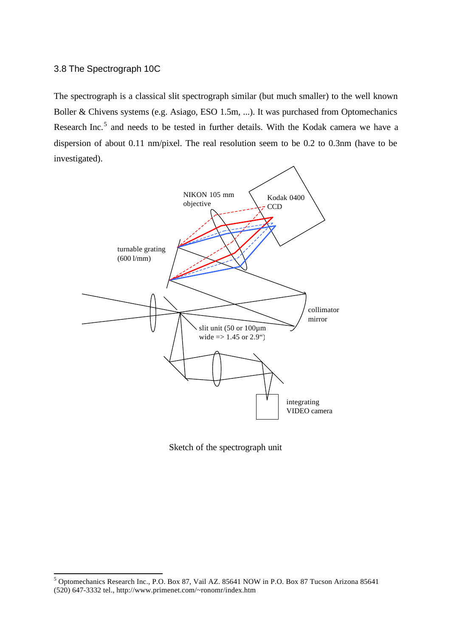#### 3.8 The Spectrograph 10C

l

The spectrograph is a classical slit spectrograph similar (but much smaller) to the well known Boller & Chivens systems (e.g. Asiago, ESO 1.5m, ...). It was purchased from Optomechanics Research Inc.<sup>5</sup> and needs to be tested in further details. With the Kodak camera we have a dispersion of about 0.11 nm/pixel. The real resolution seem to be 0.2 to 0.3nm (have to be investigated).



Sketch of the spectrograph unit

<sup>5</sup> Optomechanics Research Inc., P.O. Box 87, Vail AZ. 85641 NOW in P.O. Box 87 Tucson Arizona 85641 (520) 647-3332 tel., http://www.primenet.com/~ronomr/index.htm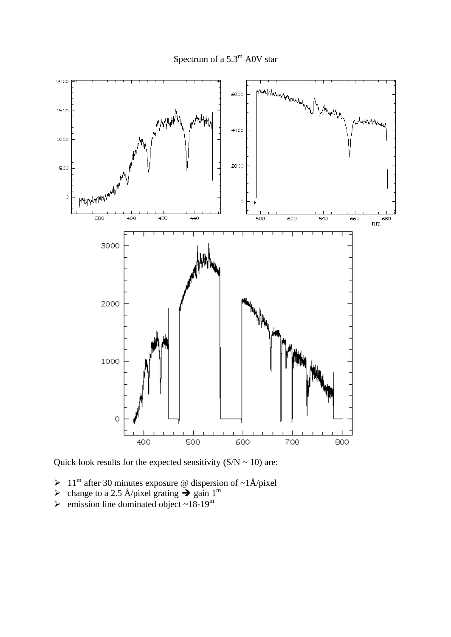

Quick look results for the expected sensitivity  $(S/N \sim 10)$  are:

- $\triangleright$  11<sup>m</sup> after 30 minutes exposure @ dispersion of ~1Å/pixel
- $\triangleright$  change to a 2.5 Å/pixel grating  $\rightarrow$  gain 1<sup>m</sup>
- $\triangleright$  emission line dominated object ~18-19<sup>m</sup>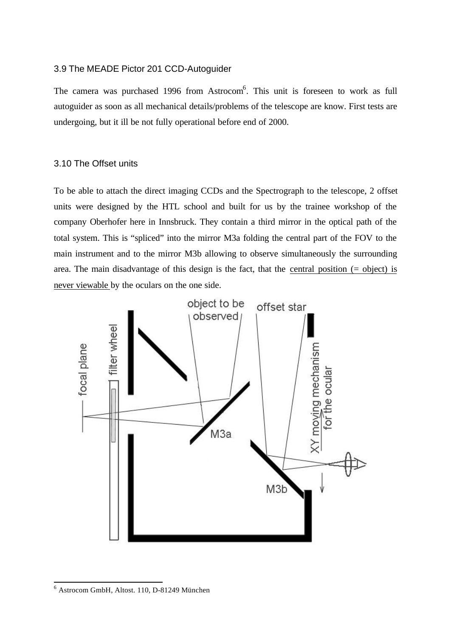#### 3.9 The MEADE Pictor 201 CCD-Autoguider

The camera was purchased 1996 from Astrocom<sup>6</sup>. This unit is foreseen to work as full autoguider as soon as all mechanical details/problems of the telescope are know. First tests are undergoing, but it ill be not fully operational before end of 2000.

#### 3.10 The Offset units

To be able to attach the direct imaging CCDs and the Spectrograph to the telescope, 2 offset units were designed by the HTL school and built for us by the trainee workshop of the company Oberhofer here in Innsbruck. They contain a third mirror in the optical path of the total system. This is "spliced" into the mirror M3a folding the central part of the FOV to the main instrument and to the mirror M3b allowing to observe simultaneously the surrounding area. The main disadvantage of this design is the fact, that the central position (= object) is never viewable by the oculars on the one side.



l

<sup>6</sup> Astrocom GmbH, Altost. 110, D-81249 München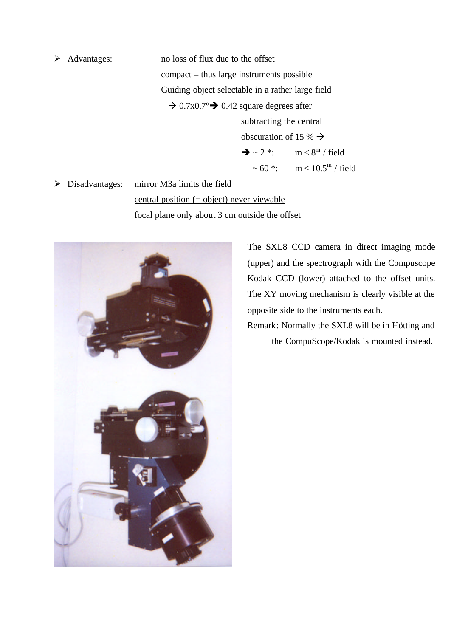ÿ Advantages: no loss of flux due to the offset compact – thus large instruments possible Guiding object selectable in a rather large field  $\rightarrow 0.7x0.7$ <sup>o</sup> $\rightarrow 0.42$  square degrees after subtracting the central obscuration of 15 %  $\rightarrow$  $\rightarrow \sim 2$  \*:  $m < 8^m$  / field  $\sim 60$  \*: m <  $10.5^{\rm m}$  / field

 $\triangleright$  Disadvantages: mirror M3a limits the field central position (= object) never viewable focal plane only about 3 cm outside the offset



The SXL8 CCD camera in direct imaging mode (upper) and the spectrograph with the Compuscope Kodak CCD (lower) attached to the offset units. The XY moving mechanism is clearly visible at the opposite side to the instruments each.

Remark: Normally the SXL8 will be in Hötting and the CompuScope/Kodak is mounted instead.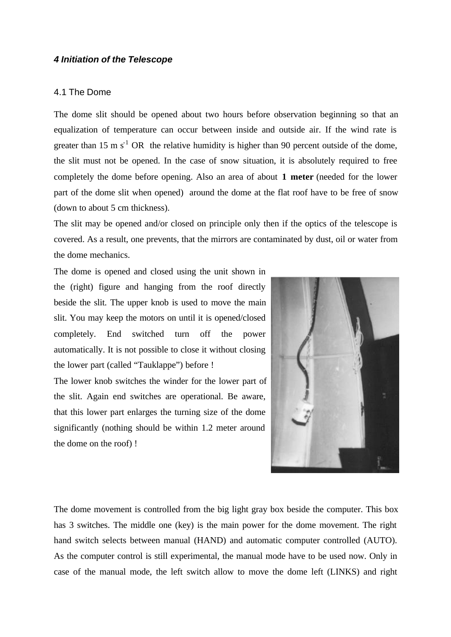#### *4 Initiation of the Telescope*

#### 4.1 The Dome

The dome slit should be opened about two hours before observation beginning so that an equalization of temperature can occur between inside and outside air. If the wind rate is greater than 15 m  $s^{-1}$  OR the relative humidity is higher than 90 percent outside of the dome, the slit must not be opened. In the case of snow situation, it is absolutely required to free completely the dome before opening. Also an area of about **1 meter** (needed for the lower part of the dome slit when opened) around the dome at the flat roof have to be free of snow (down to about 5 cm thickness).

The slit may be opened and/or closed on principle only then if the optics of the telescope is covered. As a result, one prevents, that the mirrors are contaminated by dust, oil or water from the dome mechanics.

The dome is opened and closed using the unit shown in the (right) figure and hanging from the roof directly beside the slit. The upper knob is used to move the main slit. You may keep the motors on until it is opened/closed completely. End switched turn off the power automatically. It is not possible to close it without closing the lower part (called "Tauklappe") before !

The lower knob switches the winder for the lower part of the slit. Again end switches are operational. Be aware, that this lower part enlarges the turning size of the dome significantly (nothing should be within 1.2 meter around the dome on the roof) !



The dome movement is controlled from the big light gray box beside the computer. This box has 3 switches. The middle one (key) is the main power for the dome movement. The right hand switch selects between manual (HAND) and automatic computer controlled (AUTO). As the computer control is still experimental, the manual mode have to be used now. Only in case of the manual mode, the left switch allow to move the dome left (LINKS) and right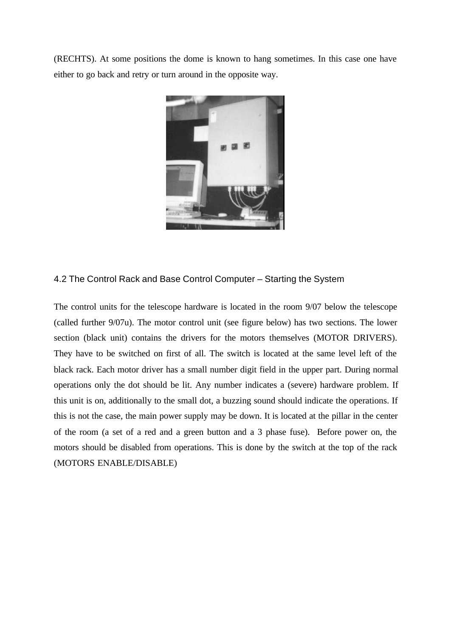(RECHTS). At some positions the dome is known to hang sometimes. In this case one have either to go back and retry or turn around in the opposite way.



## 4.2 The Control Rack and Base Control Computer – Starting the System

The control units for the telescope hardware is located in the room 9/07 below the telescope (called further 9/07u). The motor control unit (see figure below) has two sections. The lower section (black unit) contains the drivers for the motors themselves (MOTOR DRIVERS). They have to be switched on first of all. The switch is located at the same level left of the black rack. Each motor driver has a small number digit field in the upper part. During normal operations only the dot should be lit. Any number indicates a (severe) hardware problem. If this unit is on, additionally to the small dot, a buzzing sound should indicate the operations. If this is not the case, the main power supply may be down. It is located at the pillar in the center of the room (a set of a red and a green button and a 3 phase fuse). Before power on, the motors should be disabled from operations. This is done by the switch at the top of the rack (MOTORS ENABLE/DISABLE)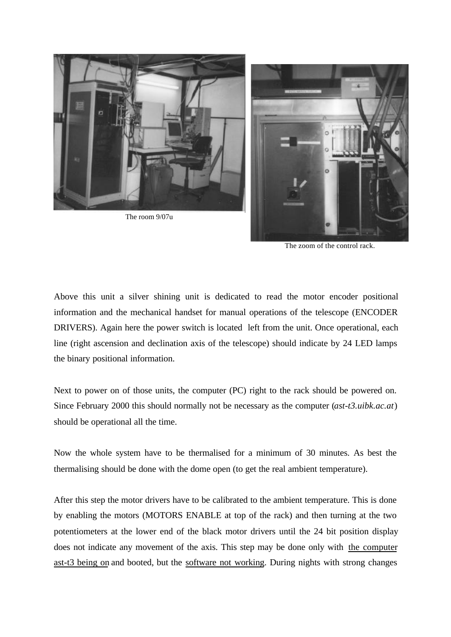

The room 9/07u



The zoom of the control rack.

Above this unit a silver shining unit is dedicated to read the motor encoder positional information and the mechanical handset for manual operations of the telescope (ENCODER DRIVERS). Again here the power switch is located left from the unit. Once operational, each line (right ascension and declination axis of the telescope) should indicate by 24 LED lamps the binary positional information.

Next to power on of those units, the computer (PC) right to the rack should be powered on. Since February 2000 this should normally not be necessary as the computer (*ast-t3.uibk.ac.at*) should be operational all the time.

Now the whole system have to be thermalised for a minimum of 30 minutes. As best the thermalising should be done with the dome open (to get the real ambient temperature).

After this step the motor drivers have to be calibrated to the ambient temperature. This is done by enabling the motors (MOTORS ENABLE at top of the rack) and then turning at the two potentiometers at the lower end of the black motor drivers until the 24 bit position display does not indicate any movement of the axis. This step may be done only with the computer ast-t3 being on and booted, but the software not working. During nights with strong changes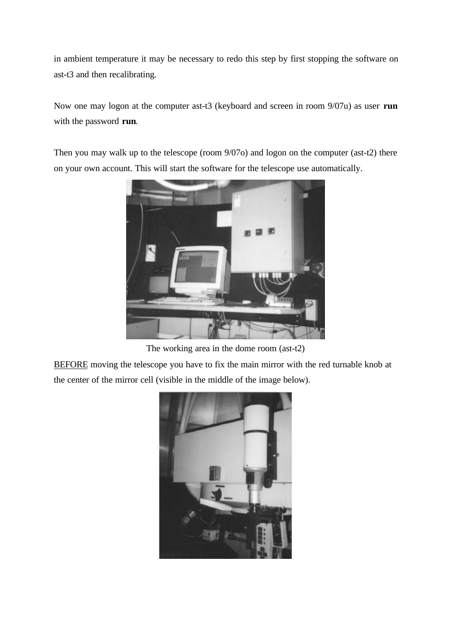in ambient temperature it may be necessary to redo this step by first stopping the software on ast-t3 and then recalibrating.

Now one may logon at the computer ast-t3 (keyboard and screen in room 9/07u) as user **run** with the password **run**.

Then you may walk up to the telescope (room 9/07o) and logon on the computer (ast-t2) there on your own account. This will start the software for the telescope use automatically.



The working area in the dome room (ast-t2)

BEFORE moving the telescope you have to fix the main mirror with the red turnable knob at the center of the mirror cell (visible in the middle of the image below).

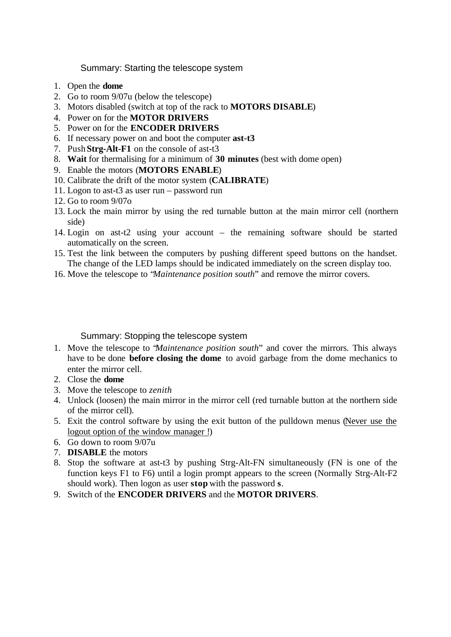## Summary: Starting the telescope system

- 1. Open the **dome**
- 2. Go to room 9/07u (below the telescope)
- 3. Motors disabled (switch at top of the rack to **MOTORS DISABLE**)
- 4. Power on for the **MOTOR DRIVERS**
- 5. Power on for the **ENCODER DRIVERS**
- 6. If necessary power on and boot the computer **ast-t3**
- 7. Push **Strg-Alt-F1** on the console of ast-t3
- 8. **Wait** for thermalising for a minimum of **30 minutes** (best with dome open)
- 9. Enable the motors (**MOTORS ENABLE**)
- 10. Calibrate the drift of the motor system (**CALIBRATE**)
- 11. Logon to ast-t3 as user run password run
- 12. Go to room 9/07o
- 13. Lock the main mirror by using the red turnable button at the main mirror cell (northern side)
- 14. Login on ast-t2 using your account the remaining software should be started automatically on the screen.
- 15. Test the link between the computers by pushing different speed buttons on the handset. The change of the LED lamps should be indicated immediately on the screen display too.
- 16. Move the telescope to "*Maintenance position south*" and remove the mirror covers.

## Summary: Stopping the telescope system

- 1. Move the telescope to "*Maintenance position south*" and cover the mirrors. This always have to be done **before closing the dome** to avoid garbage from the dome mechanics to enter the mirror cell.
- 2. Close the **dome**
- 3. Move the telescope to *zenith*
- 4. Unlock (loosen) the main mirror in the mirror cell (red turnable button at the northern side of the mirror cell).
- 5. Exit the control software by using the exit button of the pulldown menus (Never use the logout option of the window manager !)
- 6. Go down to room 9/07u
- 7. **DISABLE** the motors
- 8. Stop the software at ast-t3 by pushing Strg-Alt-FN simultaneously (FN is one of the function keys F1 to F6) until a login prompt appears to the screen (Normally Strg-Alt-F2 should work). Then logon as user **stop** with the password **s**.
- 9. Switch of the **ENCODER DRIVERS** and the **MOTOR DRIVERS**.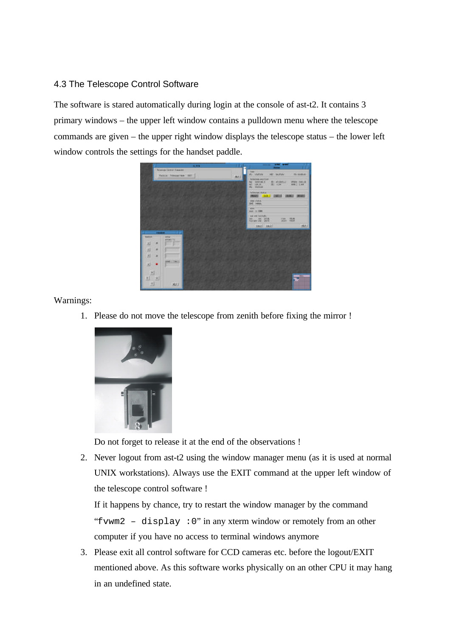## 4.3 The Telescope Control Software

The software is stared automatically during login at the console of ast-t2. It contains 3 primary windows – the upper left window contains a pulldown menu where the telescope commands are given – the upper right window displays the telescope status – the lower left window controls the settings for the handset paddle.



#### Warnings:

1. Please do not move the telescope from zenith before fixing the mirror !



Do not forget to release it at the end of the observations !

2. Never logout from ast-t2 using the window manager menu (as it is used at normal UNIX workstations). Always use the EXIT command at the upper left window of the telescope control software !

If it happens by chance, try to restart the window manager by the command "fvwm2 – display :0" in any xterm window or remotely from an other computer if you have no access to terminal windows anymore

3. Please exit all control software for CCD cameras etc. before the logout/EXIT mentioned above. As this software works physically on an other CPU it may hang in an undefined state.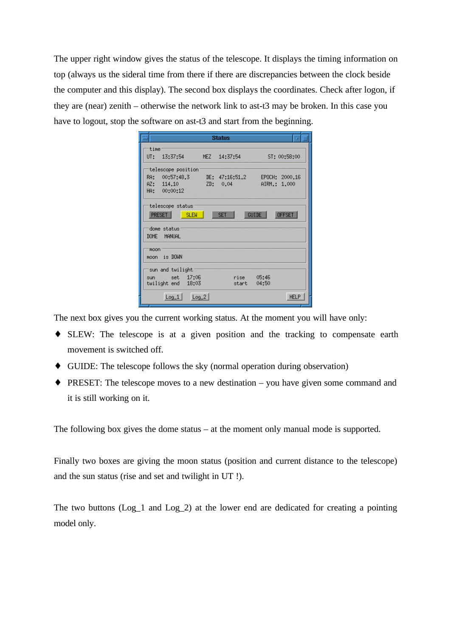The upper right window gives the status of the telescope. It displays the timing information on top (always us the sideral time from there if there are discrepancies between the clock beside the computer and this display). The second box displays the coordinates. Check after logon, if they are (near) zenith – otherwise the network link to ast-t3 may be broken. In this case you have to logout, stop the software on ast-t3 and start from the beginning.

|             |                                                         |         | <b>Status</b>                |                               |             |
|-------------|---------------------------------------------------------|---------|------------------------------|-------------------------------|-------------|
| time<br>UT: | 13:37:54                                                | MEZ     | 14:37:54                     | ST: 00:58:00                  |             |
|             | telescope position                                      |         |                              |                               |             |
|             | RA: 00:57:48.3<br>AZ: 114.10<br>HA: 00:00:12            |         | DE: $47:16:51.2$<br>ZD: 0.04 | EPOCH: 2000.16<br>AIRM.:      | 1,000       |
|             | telescope status<br><b>PRESET</b><br><b>SLEW</b>        |         | <b>SET</b>                   | <b>GUIDE</b><br><b>OFFSET</b> |             |
|             | dome status<br>DOME MANUAL                              |         |                              |                               |             |
| moon        | moon is DOWN                                            |         |                              |                               |             |
|             | sun and twilight<br>sun set 17:06<br>twilight end 18:03 |         | rise –<br>start              | 05:46<br>04:50                |             |
|             | $Log_1$                                                 | $Log_2$ |                              |                               | <b>HELP</b> |

The next box gives you the current working status. At the moment you will have only:

- ♦ SLEW: The telescope is at a given position and the tracking to compensate earth movement is switched off.
- ♦ GUIDE: The telescope follows the sky (normal operation during observation)
- ♦ PRESET: The telescope moves to a new destination you have given some command and it is still working on it.

The following box gives the dome status – at the moment only manual mode is supported.

Finally two boxes are giving the moon status (position and current distance to the telescope) and the sun status (rise and set and twilight in UT !).

The two buttons (Log\_1 and Log\_2) at the lower end are dedicated for creating a pointing model only.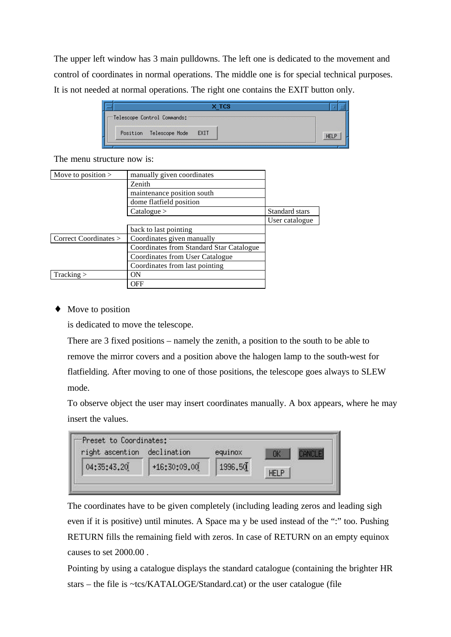The upper left window has 3 main pulldowns. The left one is dedicated to the movement and control of coordinates in normal operations. The middle one is for special technical purposes. It is not needed at normal operations. The right one contains the EXIT button only.

|                                 | X TCS |             |  |
|---------------------------------|-------|-------------|--|
| :Telescope Control Commands:    |       |             |  |
| Position Telescope Mode<br>EXIT |       | <b>HELP</b> |  |

The menu structure now is:

| Move to position $>$    | manually given coordinates               |                |
|-------------------------|------------------------------------------|----------------|
|                         | Zenith                                   |                |
|                         | maintenance position south               |                |
|                         | dome flatfield position                  |                |
|                         | $\text{Catalogue}$                       | Standard stars |
|                         |                                          | User catalogue |
|                         | back to last pointing                    |                |
| Correct Coordinates $>$ | Coordinates given manually               |                |
|                         | Coordinates from Standard Star Catalogue |                |
|                         | Coordinates from User Catalogue          |                |
|                         | Coordinates from last pointing           |                |
| Tracking >              | ON                                       |                |
|                         | OFF                                      |                |

♦ Move to position

is dedicated to move the telescope.

There are 3 fixed positions – namely the zenith, a position to the south to be able to remove the mirror covers and a position above the halogen lamp to the south-west for flatfielding. After moving to one of those positions, the telescope goes always to SLEW mode.

To observe object the user may insert coordinates manually. A box appears, where he may insert the values.

| right ascention declination |                | equinox |             |  |
|-----------------------------|----------------|---------|-------------|--|
| 04:35:43.20                 | $+16;30;09,00$ | 1996.50 | <b>HFIP</b> |  |

The coordinates have to be given completely (including leading zeros and leading sigh even if it is positive) until minutes. A Space ma y be used instead of the ":" too. Pushing RETURN fills the remaining field with zeros. In case of RETURN on an empty equinox causes to set 2000.00 .

Pointing by using a catalogue displays the standard catalogue (containing the brighter HR stars – the file is ~tcs/KATALOGE/Standard.cat) or the user catalogue (file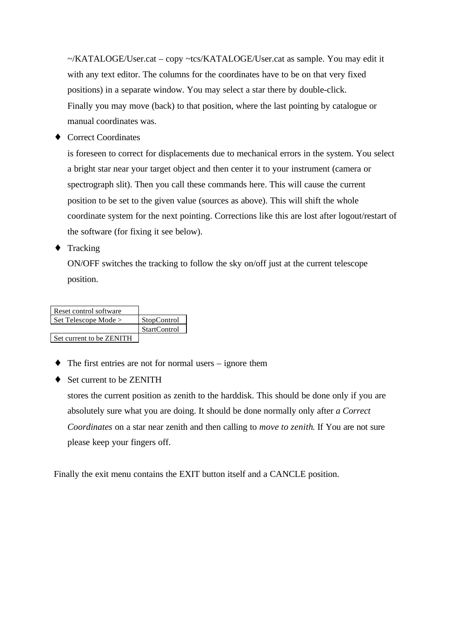~/KATALOGE/User.cat – copy ~tcs/KATALOGE/User.cat as sample. You may edit it with any text editor. The columns for the coordinates have to be on that very fixed positions) in a separate window. You may select a star there by double-click. Finally you may move (back) to that position, where the last pointing by catalogue or manual coordinates was.

◆ Correct Coordinates

is foreseen to correct for displacements due to mechanical errors in the system. You select a bright star near your target object and then center it to your instrument (camera or spectrograph slit). Then you call these commands here. This will cause the current position to be set to the given value (sources as above). This will shift the whole coordinate system for the next pointing. Corrections like this are lost after logout/restart of the software (for fixing it see below).

◆ Tracking

ON/OFF switches the tracking to follow the sky on/off just at the current telescope position.

| Reset control software   |                     |
|--------------------------|---------------------|
| Set Telescope Mode >     | StopControl         |
|                          | <b>StartControl</b> |
| Set current to be ZENITH |                     |

- $\blacklozenge$  The first entries are not for normal users ignore them
- ♦ Set current to be ZENITH

stores the current position as zenith to the harddisk. This should be done only if you are absolutely sure what you are doing. It should be done normally only after *a Correct Coordinates* on a star near zenith and then calling to *move to zenith*. If You are not sure please keep your fingers off.

Finally the exit menu contains the EXIT button itself and a CANCLE position.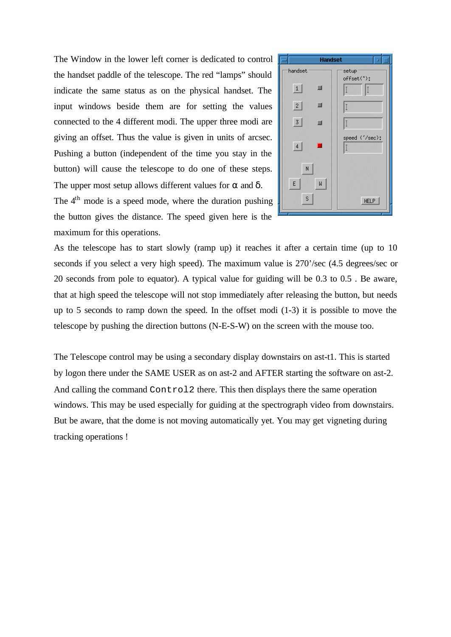The Window in the lower left corner is dedicated to control the handset paddle of the telescope. The red "lamps" should indicate the same status as on the physical handset. The input windows beside them are for setting the values connected to the 4 different modi. The upper three modi are giving an offset. Thus the value is given in units of arcsec. Pushing a button (independent of the time you stay in the button) will cause the telescope to do one of these steps. The upper most setup allows different values for  $\alpha$  and  $\delta$ . The  $4<sup>th</sup>$  mode is a speed mode, where the duration pushing the button gives the distance. The speed given here is the

maximum for this operations.



As the telescope has to start slowly (ramp up) it reaches it after a certain time (up to 10 seconds if you select a very high speed). The maximum value is 270'/sec (4.5 degrees/sec or 20 seconds from pole to equator). A typical value for guiding will be 0.3 to 0.5 . Be aware, that at high speed the telescope will not stop immediately after releasing the button, but needs up to 5 seconds to ramp down the speed. In the offset modi (1-3) it is possible to move the telescope by pushing the direction buttons (N-E-S-W) on the screen with the mouse too.

The Telescope control may be using a secondary display downstairs on ast-t1. This is started by logon there under the SAME USER as on ast-2 and AFTER starting the software on ast-2. And calling the command Control 2 there. This then displays there the same operation windows. This may be used especially for guiding at the spectrograph video from downstairs. But be aware, that the dome is not moving automatically yet. You may get vigneting during tracking operations !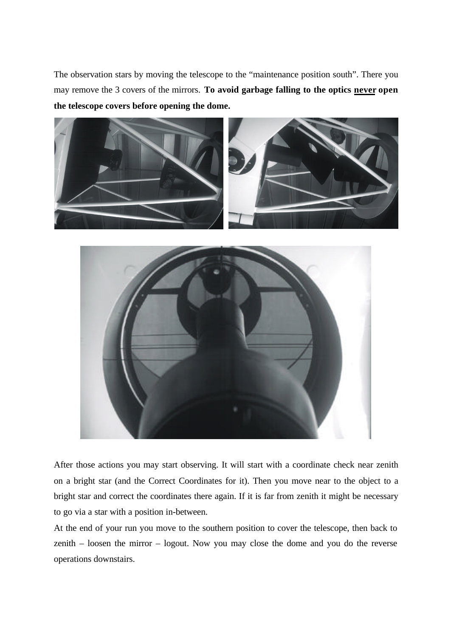The observation stars by moving the telescope to the "maintenance position south". There you may remove the 3 covers of the mirrors. **To avoid garbage falling to the optics never open the telescope covers before opening the dome.**



After those actions you may start observing. It will start with a coordinate check near zenith on a bright star (and the Correct Coordinates for it). Then you move near to the object to a bright star and correct the coordinates there again. If it is far from zenith it might be necessary to go via a star with a position in-between.

At the end of your run you move to the southern position to cover the telescope, then back to zenith – loosen the mirror – logout. Now you may close the dome and you do the reverse operations downstairs.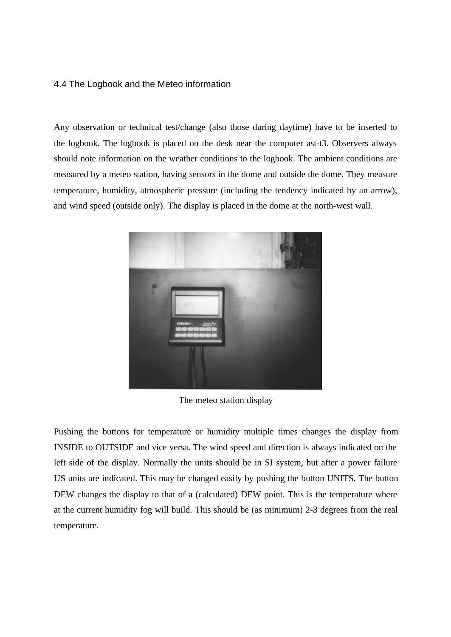#### 4.4 The Logbook and the Meteo information

Any observation or technical test/change (also those during daytime) have to be inserted to the logbook. The logbook is placed on the desk near the computer ast-t3. Observers always should note information on the weather conditions to the logbook. The ambient conditions are measured by a meteo station, having sensors in the dome and outside the dome. They measure temperature, humidity, atmospheric pressure (including the tendency indicated by an arrow), and wind speed (outside only). The display is placed in the dome at the north-west wall.



The meteo station display

Pushing the buttons for temperature or humidity multiple times changes the display from INSIDE to OUTSIDE and vice versa. The wind speed and direction is always indicated on the left side of the display. Normally the units should be in SI system, but after a power failure US units are indicated. This may be changed easily by pushing the button UNITS. The button DEW changes the display to that of a (calculated) DEW point. This is the temperature where at the current humidity fog will build. This should be (as minimum) 2-3 degrees from the real temperature.